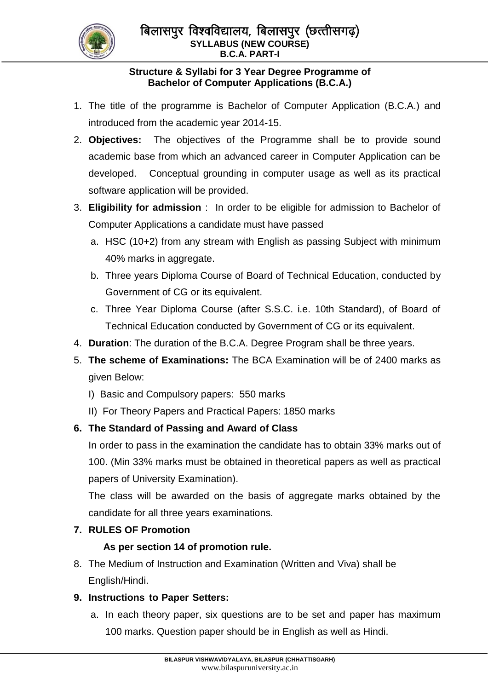

## **Structure & Syllabi for 3 Year Degree Programme of Bachelor of Computer Applications (B.C.A.)**

- 1. The title of the programme is Bachelor of Computer Application (B.C.A.) and introduced from the academic year 2014-15.
- 2. **Objectives:** The objectives of the Programme shall be to provide sound academic base from which an advanced career in Computer Application can be developed. Conceptual grounding in computer usage as well as its practical software application will be provided.
- 3. **Eligibility for admission** : In order to be eligible for admission to Bachelor of Computer Applications a candidate must have passed
	- a. HSC (10+2) from any stream with English as passing Subject with minimum 40% marks in aggregate.
	- b. Three years Diploma Course of Board of Technical Education, conducted by Government of CG or its equivalent.
	- c. Three Year Diploma Course (after S.S.C. i.e. 10th Standard), of Board of Technical Education conducted by Government of CG or its equivalent.
- 4. **Duration**: The duration of the B.C.A. Degree Program shall be three years.
- 5. **The scheme of Examinations:** The BCA Examination will be of 2400 marks as given Below:
	- I) Basic and Compulsory papers: 550 marks
	- II) For Theory Papers and Practical Papers: 1850 marks

# **6. The Standard of Passing and Award of Class**

In order to pass in the examination the candidate has to obtain 33% marks out of 100. (Min 33% marks must be obtained in theoretical papers as well as practical papers of University Examination).

The class will be awarded on the basis of aggregate marks obtained by the candidate for all three years examinations.

## **7. RULES OF Promotion**

## **As per section 14 of promotion rule.**

8. The Medium of Instruction and Examination (Written and Viva) shall be English/Hindi.

## **9. Instructions to Paper Setters:**

a. In each theory paper, six questions are to be set and paper has maximum 100 marks. Question paper should be in English as well as Hindi.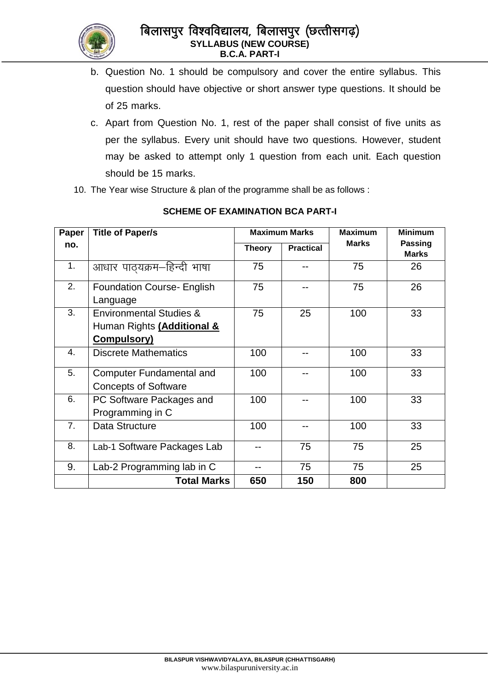

- b. Question No. 1 should be compulsory and cover the entire syllabus. This question should have objective or short answer type questions. It should be of 25 marks.
- c. Apart from Question No. 1, rest of the paper shall consist of five units as per the syllabus. Every unit should have two questions. However, student may be asked to attempt only 1 question from each unit. Each question should be 15 marks.
- 10. The Year wise Structure & plan of the programme shall be as follows :

| Paper | <b>Title of Paper/s</b>            | <b>Maximum Marks</b> |                  | <b>Maximum</b> | <b>Minimum</b>                 |
|-------|------------------------------------|----------------------|------------------|----------------|--------------------------------|
| no.   |                                    | <b>Theory</b>        | <b>Practical</b> | <b>Marks</b>   | <b>Passing</b><br><b>Marks</b> |
| 1.    | आधार पाठ्यक्रम–हिन्दी भाषा         | 75                   |                  | 75             | 26                             |
| 2.    | <b>Foundation Course- English</b>  | 75                   |                  | 75             | 26                             |
|       | Language                           |                      |                  |                |                                |
| 3.    | <b>Environmental Studies &amp;</b> | 75                   | 25               | 100            | 33                             |
|       | Human Rights (Additional &         |                      |                  |                |                                |
|       | Compulsory)                        |                      |                  |                |                                |
| 4.    | <b>Discrete Mathematics</b>        | 100                  |                  | 100            | 33                             |
| 5.    | <b>Computer Fundamental and</b>    | 100                  |                  | 100            | 33                             |
|       | <b>Concepts of Software</b>        |                      |                  |                |                                |
| 6.    | PC Software Packages and           | 100                  |                  | 100            | 33                             |
|       | Programming in C                   |                      |                  |                |                                |
| 7.    | Data Structure                     | 100                  |                  | 100            | 33                             |
| 8.    | Lab-1 Software Packages Lab        |                      | 75               | 75             | 25                             |
| 9.    | Lab-2 Programming lab in C         |                      | 75               | 75             | 25                             |
|       | <b>Total Marks</b>                 | 650                  | 150              | 800            |                                |

### **SCHEME OF EXAMINATION BCA PART-I**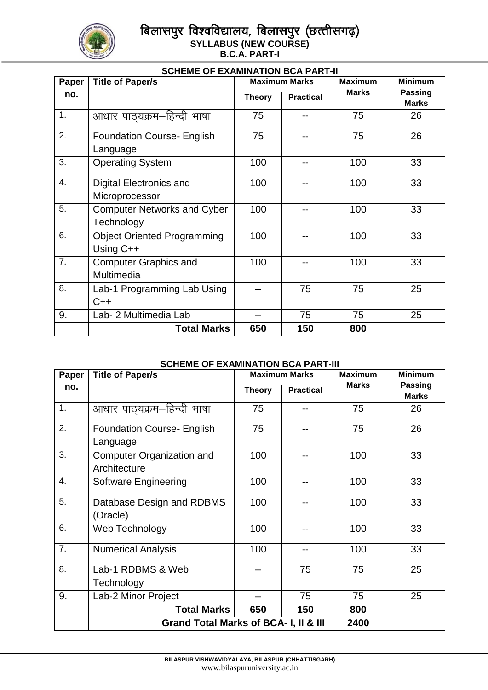

## बिलासपुर विश्वविद्यालय, बिलासपुर (छत्तीसगढ़) **SYLLABUS (NEW COURSE) B.C.A. PART-I**

| <b>SCHEME OF EXAMINATION BCA PART-II</b> |                                                  |                      |                  |                |                                |
|------------------------------------------|--------------------------------------------------|----------------------|------------------|----------------|--------------------------------|
| Paper                                    | <b>Title of Paper/s</b>                          | <b>Maximum Marks</b> |                  | <b>Maximum</b> | <b>Minimum</b>                 |
| no.                                      |                                                  | <b>Theory</b>        | <b>Practical</b> | <b>Marks</b>   | <b>Passing</b><br><b>Marks</b> |
| 1.                                       | आधार पाठयक्रम–हिन्दी भाषा                        | 75                   |                  | 75             | 26                             |
| 2.                                       | <b>Foundation Course- English</b><br>Language    | 75                   |                  | 75             | 26                             |
| 3.                                       | <b>Operating System</b>                          | 100                  |                  | 100            | 33                             |
| 4.                                       | Digital Electronics and<br>Microprocessor        | 100                  |                  | 100            | 33                             |
| 5.                                       | <b>Computer Networks and Cyber</b><br>Technology | 100                  |                  | 100            | 33                             |
| 6.                                       | <b>Object Oriented Programming</b><br>Using C++  | 100                  |                  | 100            | 33                             |
| 7.                                       | <b>Computer Graphics and</b><br>Multimedia       | 100                  |                  | 100            | 33                             |
| 8.                                       | Lab-1 Programming Lab Using<br>$C++$             |                      | 75               | 75             | 25                             |
| 9.                                       | Lab- 2 Multimedia Lab                            |                      | 75               | 75             | 25                             |
|                                          | <b>Total Marks</b>                               | 650                  | 150              | 800            |                                |

### **SCHEME OF EXAMINATION BCA PART-III**

| Paper            | <b>Title of Paper/s</b>                          | <b>Maximum Marks</b> |                  | <b>Maximum</b> | <b>Minimum</b>                 |
|------------------|--------------------------------------------------|----------------------|------------------|----------------|--------------------------------|
| no.              |                                                  | <b>Theory</b>        | <b>Practical</b> | <b>Marks</b>   | <b>Passing</b><br><b>Marks</b> |
| 1.               | आधार पाठ्यक्रम-हिन्दी भाषा                       | 75                   |                  | 75             | 26                             |
| 2.               | <b>Foundation Course- English</b><br>Language    | 75                   |                  | 75             | 26                             |
| 3.               | <b>Computer Organization and</b><br>Architecture | 100                  |                  | 100            | 33                             |
| 4.               | <b>Software Engineering</b>                      | 100                  |                  | 100            | 33                             |
| 5.               | Database Design and RDBMS<br>(Oracle)            | 100                  |                  | 100            | 33                             |
| 6.               | Web Technology                                   | 100                  |                  | 100            | 33                             |
| $\overline{7}$ . | <b>Numerical Analysis</b>                        | 100                  |                  | 100            | 33                             |
| 8.               | Lab-1 RDBMS & Web<br>Technology                  |                      | 75               | 75             | 25                             |
| 9.               | Lab-2 Minor Project                              |                      | 75               | 75             | 25                             |
|                  | <b>Total Marks</b>                               | 650                  | 150              | 800            |                                |
|                  | Grand Total Marks of BCA- I, II & III            |                      |                  | 2400           |                                |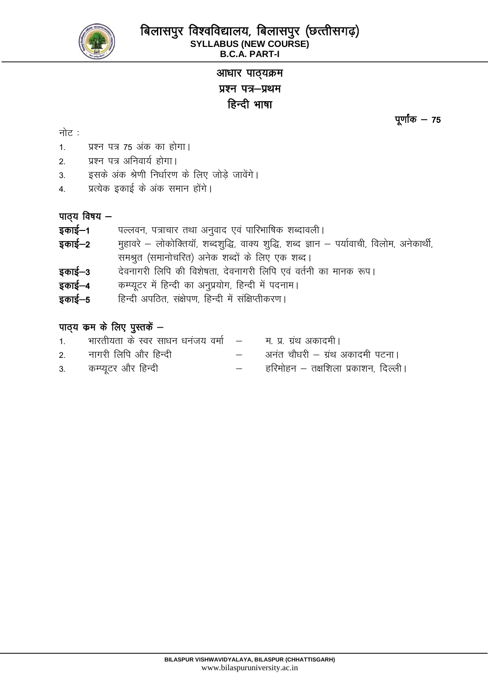

# आधार पाठ्यक्रम प्रश्न पत्र-प्रथम हिन्दी भाषा

नोट $:$ 

- $1.$  प्रश्न पत्र 75 अंक का होगा।
- 2. प्रश्न पत्र अनिवार्य होगा।
- 3. इसके अंक श्रेणी निर्धारण के लिए जोडे जावेंगे।
- 4. प्रत्येक इकाई के अंक समान होंगे।

## $\overline{u}$  virggeright  $\overline{u}$

- **इकाई–1** पल्लवन, पत्राचार तथा अनुवाद एवं पारिभाषिक शब्दावली ।
- **इकाई–2** महावरे लोकोक्तियॉ, शब्दशुद्धि, वाक्य शुद्धि, शब्द ज्ञान पर्यावाची, विलोम, अनेकार्थी, समश्रुत (समानोचरित) अनेक शब्दों के लिए एक शब्द।
- इकाई-3 देवनागरी लिपि की विशेषता, देवनागरी लिपि एवं वर्तनी का मानक रूप।
- **इकाई-4** कम्प्यूटर में हिन्दी का अनुप्रयोग, हिन्दी में पदनाम।
- **इकाई–5** हिन्दी अपठित, संक्षेपण, हिन्दी में संक्षिप्तीकरण।

# पाठ्य कम के लिए पुस्तकें  $-$

- 1. भारतीयता के स्वर साधन धनंजय वर्मा किन प्र. ग्रंथ अकादमी । 2. नागरी लिपि और हिन्दी which when which in the value of the standard value of the value of the standard in the standard value of the value of the value of the value of the value of the value of the value of the value of t
- 3- dEI;wVj vkSj fgUnh & gfjeksgu & r{kf"kyk izdk"ku] fnYyhA

पूर्णांक $-75$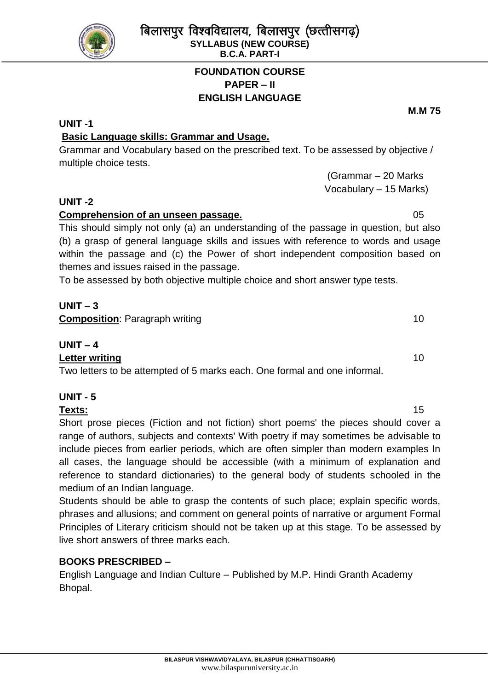# **FOUNDATION COURSE PAPER – II ENGLISH LANGUAGE**

# **UNIT -1**

# **Basic Language skills: Grammar and Usage.**

Grammar and Vocabulary based on the prescribed text. To be assessed by objective / multiple choice tests.

> (Grammar – 20 Marks Vocabulary – 15 Marks)

# **UNIT -2**

# **Comprehension of an unseen passage. Comprehension of an unseen passage. Comprehension of an unseen passage.**

This should simply not only (a) an understanding of the passage in question, but also (b) a grasp of general language skills and issues with reference to words and usage within the passage and (c) the Power of short independent composition based on themes and issues raised in the passage.

To be assessed by both objective multiple choice and short answer type tests.

# **UNIT – 3**

**Composition**: Paragraph writing 10

# **UNIT – 4**

**Letter writing** 10 Two letters to be attempted of 5 marks each. One formal and one informal.

# **UNIT - 5**

## **Texts:** 15

Short prose pieces (Fiction and not fiction) short poems' the pieces should cover a range of authors, subjects and contexts' With poetry if may sometimes be advisable to include pieces from earlier periods, which are often simpler than modern examples In all cases, the language should be accessible (with a minimum of explanation and reference to standard dictionaries) to the general body of students schooled in the medium of an Indian language.

Students should be able to grasp the contents of such place; explain specific words, phrases and allusions; and comment on general points of narrative or argument Formal Principles of Literary criticism should not be taken up at this stage. To be assessed by live short answers of three marks each.

# **BOOKS PRESCRIBED –**

English Language and Indian Culture – Published by M.P. Hindi Granth Academy Bhopal.

**M.M 75**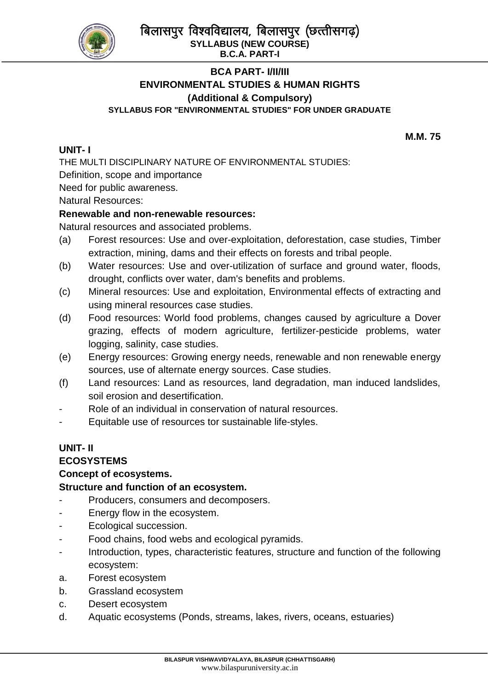बिलासपुर विश्वविद्यालय, बिलासपुर (छत्तीसगढ़) **SYLLABUS (NEW COURSE)**



**B.C.A. PART-I**

## **BCA PART- I/II/III ENVIRONMENTAL STUDIES & HUMAN RIGHTS (Additional & Compulsory) SYLLABUS FOR "ENVIRONMENTAL STUDIES" FOR UNDER GRADUATE**

**UNIT- I**

**M.M. 75**

THE MULTI DISCIPLINARY NATURE OF ENVIRONMENTAL STUDIES: Definition, scope and importance Need for public awareness.

Natural Resources:

## **Renewable and non-renewable resources:**

Natural resources and associated problems.

- (a) Forest resources: Use and over-exploitation, deforestation, case studies, Timber extraction, mining, dams and their effects on forests and tribal people.
- (b) Water resources: Use and over-utilization of surface and ground water, floods, drought, conflicts over water, dam's benefits and problems.
- (c) Mineral resources: Use and exploitation, Environmental effects of extracting and using mineral resources case studies.
- (d) Food resources: World food problems, changes caused by agriculture a Dover grazing, effects of modern agriculture, fertilizer-pesticide problems, water logging, salinity, case studies.
- (e) Energy resources: Growing energy needs, renewable and non renewable energy sources, use of alternate energy sources. Case studies.
- (f) Land resources: Land as resources, land degradation, man induced landslides, soil erosion and desertification.
- Role of an individual in conservation of natural resources.
- Equitable use of resources tor sustainable life-styles.

# **UNIT- II**

**ECOSYSTEMS**

## **Concept of ecosystems.**

## **Structure and function of an ecosystem.**

- Producers, consumers and decomposers.
- Energy flow in the ecosystem.
- Ecological succession.
- Food chains, food webs and ecological pyramids.
- Introduction, types, characteristic features, structure and function of the following ecosystem:
- a. Forest ecosystem
- b. Grassland ecosystem
- c. Desert ecosystem
- d. Aquatic ecosystems (Ponds, streams, lakes, rivers, oceans, estuaries)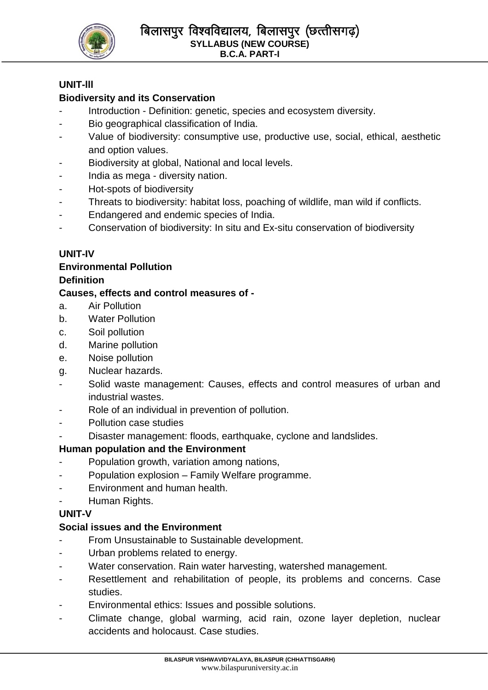

## **UNIT-lll**

# **Biodiversity and its Conservation**

- Introduction Definition: genetic, species and ecosystem diversity.
- Bio geographical classification of India.
- Value of biodiversity: consumptive use, productive use, social, ethical, aesthetic and option values.
- Biodiversity at global, National and local levels.
- India as mega diversity nation.
- Hot-spots of biodiversity
- Threats to biodiversity: habitat loss, poaching of wildlife, man wild if conflicts.
- Endangered and endemic species of India.
- Conservation of biodiversity: In situ and Ex-situ conservation of biodiversity

## **UNIT-IV**

### **Environmental Pollution Definition**

## **Causes, effects and control measures of -**

- a. Air Pollution
- b. Water Pollution
- c. Soil pollution
- d. Marine pollution
- e. Noise pollution
- g. Nuclear hazards.
- Solid waste management: Causes, effects and control measures of urban and industrial wastes.
- Role of an individual in prevention of pollution.
- Pollution case studies
- Disaster management: floods, earthquake, cyclone and landslides.

## **Human population and the Environment**

- Population growth, variation among nations,
- Population explosion Family Welfare programme.
- Environment and human health.
- Human Rights.

## **UNIT-V**

## **Social issues and the Environment**

- From Unsustainable to Sustainable development.
- Urban problems related to energy.
- Water conservation. Rain water harvesting, watershed management.
- Resettlement and rehabilitation of people, its problems and concerns. Case studies.
- Environmental ethics: Issues and possible solutions.
- Climate change, global warming, acid rain, ozone layer depletion, nuclear accidents and holocaust. Case studies.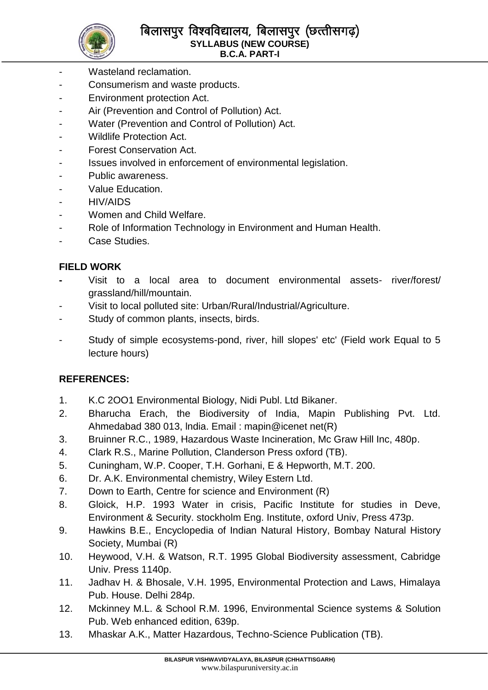

- Wasteland reclamation.
- Consumerism and waste products.
- Environment protection Act.
- Air (Prevention and Control of Pollution) Act.
- Water (Prevention and Control of Pollution) Act.
- Wildlife Protection Act.
- Forest Conservation Act.
- Issues involved in enforcement of environmental legislation.
- Public awareness.
- Value Education.
- HIV/AIDS
- Women and Child Welfare.
- Role of Information Technology in Environment and Human Health.
- Case Studies.

## **FIELD WORK**

- **-** Visit to a local area to document environmental assets- river/forest/ grassland/hill/mountain.
- Visit to local polluted site: Urban/Rural/Industrial/Agriculture.
- Study of common plants, insects, birds.
- Study of simple ecosystems-pond, river, hill slopes' etc' (Field work Equal to 5 lecture hours)

## **REFERENCES:**

- 1. K.C 2OO1 Environmental Biology, Nidi Publ. Ltd Bikaner.
- 2. Bharucha Erach, the Biodiversity of India, Mapin Publishing Pvt. Ltd. Ahmedabad 380 013, lndia. Email : mapin@icenet net(R)
- 3. Bruinner R.C., 1989, Hazardous Waste Incineration, Mc Graw Hill Inc, 480p.
- 4. Clark R.S., Marine Pollution, Clanderson Press oxford (TB).
- 5. Cuningham, W.P. Cooper, T.H. Gorhani, E & Hepworth, M.T. 200.
- 6. Dr. A.K. Environmental chemistry, Wiley Estern Ltd.
- 7. Down to Earth, Centre for science and Environment (R)
- 8. Gloick, H.P. 1993 Water in crisis, Pacific Institute for studies in Deve, Environment & Security. stockholm Eng. Institute, oxford Univ, Press 473p.
- 9. Hawkins B.E., Encyclopedia of Indian Natural History, Bombay Natural History Society, Mumbai (R)
- 10. Heywood, V.H. & Watson, R.T. 1995 Global Biodiversity assessment, Cabridge Univ. Press 1140p.
- 11. Jadhav H. & Bhosale, V.H. 1995, Environmental Protection and Laws, Himalaya Pub. House. Delhi 284p.
- 12. Mckinney M.L. & School R.M. 1996, Environmental Science systems & Solution Pub. Web enhanced edition, 639p.
- 13. Mhaskar A.K., Matter Hazardous, Techno-Science Publication (TB).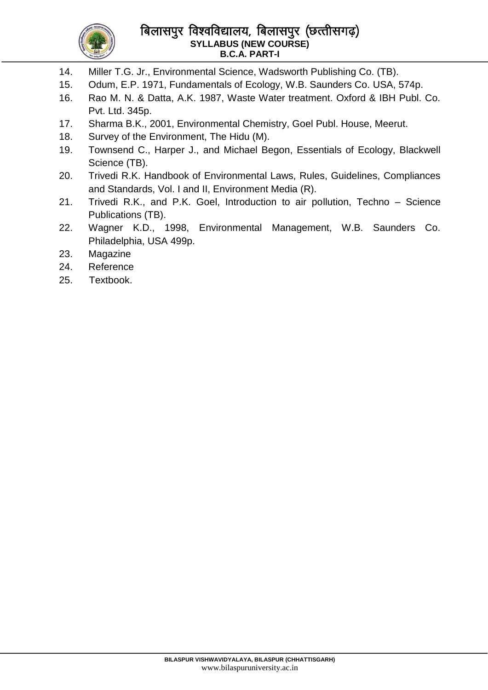

## बिलासपुर विश्वविद्यालय, बिलासपुर (छत्तीसगढ़) **SYLLABUS (NEW COURSE) B.C.A. PART-I**

- 14. Miller T.G. Jr., Environmental Science, Wadsworth Publishing Co. (TB).
- 15. Odum, E.P. 1971, Fundamentals of Ecology, W.B. Saunders Co. USA, 574p.
- 16. Rao M. N. & Datta, A.K. 1987, Waste Water treatment. Oxford & IBH Publ. Co. Pvt. Ltd. 345p.
- 17. Sharma B.K., 2001, Environmental Chemistry, Goel Publ. House, Meerut.
- 18. Survey of the Environment, The Hidu (M).
- 19. Townsend C., Harper J., and Michael Begon, Essentials of Ecology, Blackwell Science (TB).
- 20. Trivedi R.K. Handbook of Environmental Laws, Rules, Guidelines, Compliances and Standards, Vol. I and II, Environment Media (R).
- 21. Trivedi R.K., and P.K. Goel, Introduction to air pollution, Techno Science Publications (TB).
- 22. Wagner K.D., 1998, Environmental Management, W.B. Saunders Co. Philadelphia, USA 499p.
- 23. Magazine
- 24. Reference
- 25. Textbook.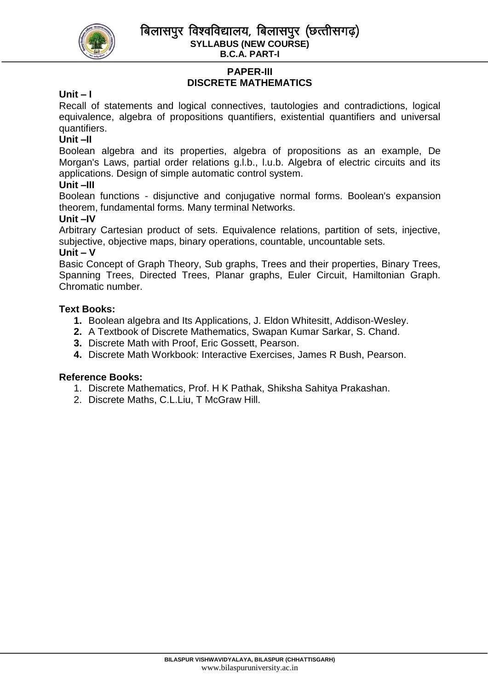बिलासपर विश्वविद्यालय, बिलासपर (छत्तीसगढ) **SYLLABUS (NEW COURSE)**



**B.C.A. PART-I**

# **PAPER-III DISCRETE MATHEMATICS**

## **Unit – I**

Recall of statements and logical connectives, tautologies and contradictions, logical equivalence, algebra of propositions quantifiers, existential quantifiers and universal quantifiers.

## **Unit –II**

Boolean algebra and its properties, algebra of propositions as an example, De Morgan's Laws, partial order relations g.l.b., l.u.b. Algebra of electric circuits and its applications. Design of simple automatic control system.

### **Unit –III**

Boolean functions - disjunctive and conjugative normal forms. Boolean's expansion theorem, fundamental forms. Many terminal Networks.

### **Unit –IV**

Arbitrary Cartesian product of sets. Equivalence relations, partition of sets, injective, subjective, objective maps, binary operations, countable, uncountable sets.

#### **Unit – V**

Basic Concept of Graph Theory, Sub graphs, Trees and their properties, Binary Trees, Spanning Trees, Directed Trees, Planar graphs, Euler Circuit, Hamiltonian Graph. Chromatic number.

### **Text Books:**

- **1.** Boolean algebra and Its Applications, J. Eldon Whitesitt, Addison-Wesley.
- **2.** A Textbook of Discrete Mathematics, Swapan Kumar Sarkar, S. Chand.
- **3.** Discrete Math with Proof, Eric Gossett, Pearson.
- **4.** Discrete Math Workbook: Interactive Exercises, James R Bush, Pearson.

### **Reference Books:**

- 1. Discrete Mathematics, Prof. H K Pathak, Shiksha Sahitya Prakashan.
- 2. Discrete Maths, C.L.Liu, T McGraw Hill.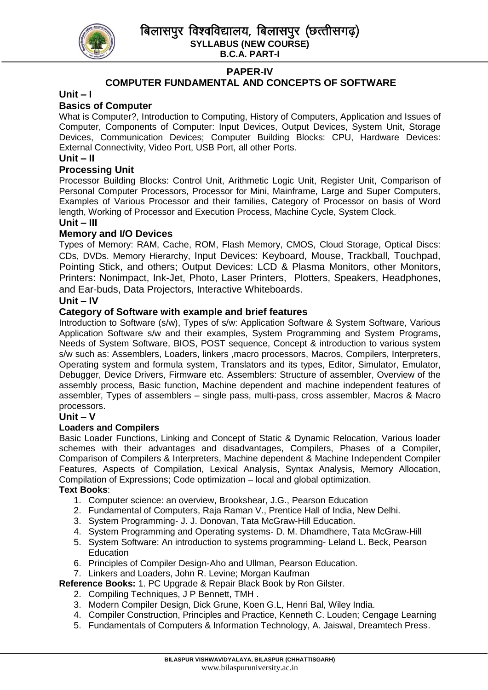

### **PAPER-IV**

## **COMPUTER FUNDAMENTAL AND CONCEPTS OF SOFTWARE**

### **Unit – I**

### **Basics of Computer**

What is Computer?, Introduction to Computing, History of Computers, Application and Issues of Computer, Components of Computer: Input Devices, Output Devices, System Unit, Storage Devices, Communication Devices; Computer Building Blocks: CPU, Hardware Devices: External Connectivity, Video Port, USB Port, all other Ports.

#### **Unit – II**

#### **Processing Unit**

Processor Building Blocks: Control Unit, Arithmetic Logic Unit, Register Unit, Comparison of Personal Computer Processors, Processor for Mini, Mainframe, Large and Super Computers, Examples of Various Processor and their families, Category of Processor on basis of Word length, Working of Processor and Execution Process, Machine Cycle, System Clock.

#### **Unit – III**

### **Memory and I/O Devices**

Types of Memory: RAM, Cache, ROM, Flash Memory, CMOS, Cloud Storage, Optical Discs: CDs, DVDs. Memory Hierarchy, Input Devices: Keyboard, Mouse, Trackball, Touchpad, Pointing Stick, and others; Output Devices: LCD & Plasma Monitors, other Monitors, Printers: Nonimpact, Ink-Jet, Photo, Laser Printers, Plotters, Speakers, Headphones, and Ear-buds, Data Projectors, Interactive Whiteboards.

### **Unit – IV**

### **Category of Software with example and brief features**

Introduction to Software (s/w), Types of s/w: Application Software & System Software, Various Application Software s/w and their examples, System Programming and System Programs, Needs of System Software, BIOS, POST sequence, Concept & introduction to various system s/w such as: Assemblers, Loaders, linkers ,macro processors, Macros, Compilers, Interpreters, Operating system and formula system, Translators and its types, Editor, Simulator, Emulator, Debugger, Device Drivers, Firmware etc. Assemblers: Structure of assembler, Overview of the assembly process, Basic function, Machine dependent and machine independent features of assembler, Types of assemblers – single pass, multi-pass, cross assembler, Macros & Macro processors.

#### **Unit – V**

#### **Loaders and Compilers**

Basic Loader Functions, Linking and Concept of Static & Dynamic Relocation, Various loader schemes with their advantages and disadvantages, Compilers, Phases of a Compiler, Comparison of Compilers & Interpreters, Machine dependent & Machine Independent Compiler Features, Aspects of Compilation, Lexical Analysis, Syntax Analysis, Memory Allocation, Compilation of Expressions; Code optimization – local and global optimization.

### **Text Books**:

- 1. Computer science: an overview, Brookshear, J.G., Pearson Education
- 2. Fundamental of Computers, Raja Raman V., Prentice Hall of India, New Delhi.
- 3. System Programming‐ J. J. Donovan, Tata McGraw‐Hill Education.
- 4. System Programming and Operating systems- D. M. Dhamdhere, Tata McGraw-Hill
- 5. System Software: An introduction to systems programming‐ Leland L. Beck, Pearson **Education**
- 6. Principles of Compiler Design‐Aho and Ullman, Pearson Education.
- 7. Linkers and Loaders, John R. Levine; Morgan Kaufman

#### **Reference Books:** 1. PC Upgrade & Repair Black Book by Ron Gilster.

- 2. Compiling Techniques, J P Bennett, TMH .
- 3. Modern Compiler Design, Dick Grune, Koen G.L, Henri Bal, Wiley India.
- 4. Compiler Construction, Principles and Practice, Kenneth C. Louden; Cengage Learning
- 5. Fundamentals of Computers & Information Technology, A. Jaiswal, Dreamtech Press.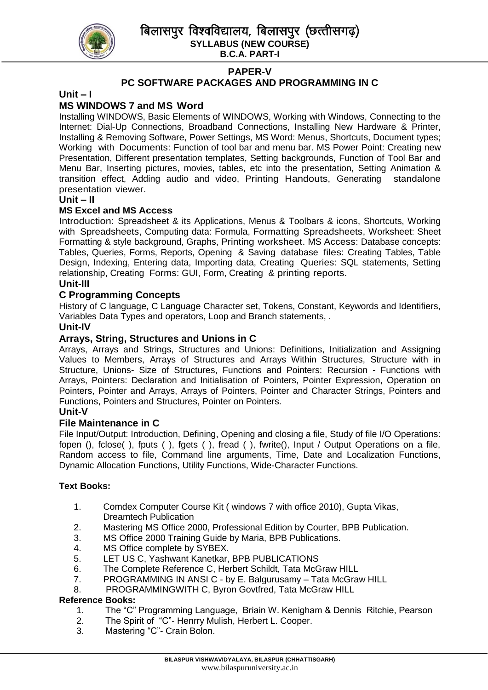बिलासपुर विश्वविद्यालय, बिलासपुर (छत्तीसगढ़) **SYLLABUS (NEW COURSE)**



## **B.C.A. PART-I PAPER-V**

## **PC SOFTWARE PACKAGES AND PROGRAMMING IN C**

#### **Unit – I**

### **MS WINDOWS 7 and MS Word**

Installing WINDOWS, Basic Elements of WINDOWS, Working with Windows, Connecting to the Internet: Dial-Up Connections, Broadband Connections, Installing New Hardware & Printer, Installing & Removing Software, Power Settings, MS Word: Menus, Shortcuts, Document types; Working with Documents: Function of tool bar and menu bar. MS Power Point: Creating new Presentation, Different presentation templates, Setting backgrounds, Function of Tool Bar and Menu Bar, Inserting pictures, movies, tables, etc into the presentation, Setting Animation & transition effect, Adding audio and video, Printing Handouts, Generating standalone presentation viewer.

#### **Unit – II**

#### **MS Excel and MS Access**

Introduction: Spreadsheet & its Applications, Menus & Toolbars & icons, Shortcuts, Working with Spreadsheets, Computing data: Formula, Formatting Spreadsheets, Worksheet: Sheet Formatting & style background, Graphs, Printing worksheet. MS Access: Database concepts: Tables, Queries, Forms, Reports, Opening & Saving database files: Creating Tables, Table Design, Indexing, Entering data, Importing data, Creating Queries: SQL statements, Setting relationship, Creating Forms: GUI, Form, Creating & printing reports.

### **Unit-III**

#### **C Programming Concepts**

History of C language, C Language Character set, Tokens, Constant, Keywords and Identifiers, Variables Data Types and operators, Loop and Branch statements, .

#### **Unit-IV**

### **Arrays, String, Structures and Unions in C**

Arrays, Arrays and Strings, Structures and Unions: Definitions, Initialization and Assigning Values to Members, Arrays of Structures and Arrays Within Structures, Structure with in Structure, Unions- Size of Structures, Functions and Pointers: Recursion - Functions with Arrays, Pointers: Declaration and Initialisation of Pointers, Pointer Expression, Operation on Pointers, Pointer and Arrays, Arrays of Pointers, Pointer and Character Strings, Pointers and Functions, Pointers and Structures, Pointer on Pointers.

#### **Unit-V**

#### **File Maintenance in C**

File Input/Output: Introduction, Defining, Opening and closing a file, Study of file I/O Operations: fopen (), fclose(), fputs (), fgets (), fread (), fwrite(), Input / Output Operations on a file, Random access to file, Command line arguments, Time, Date and Localization Functions, Dynamic Allocation Functions, Utility Functions, Wide-Character Functions.

#### **Text Books:**

- 1. Comdex Computer Course Kit ( windows 7 with office 2010), Gupta Vikas, Dreamtech Publication
- 2. Mastering MS Office 2000, Professional Edition by Courter, BPB Publication.
- 3. MS Office 2000 Training Guide by Maria, BPB Publications.
- 4. MS Office complete by SYBEX.
- 5. LET US C, Yashwant Kanetkar, BPB PUBLICATIONS
- 6. The Complete Reference C, Herbert Schildt, Tata McGraw HILL
- 7. PROGRAMMING IN ANSI C by E. Balgurusamy Tata McGraw HILL
- 8. PROGRAMMINGWITH C, Byron Govtfred, Tata McGraw HILL

#### **Reference Books:**

- 1. The "C" Programming Language, Briain W. Kenigham & Dennis Ritchie, Pearson
- 2. The Spirit of "C"- Henrry Mulish, Herbert L. Cooper.
- 3. Mastering "C"- Crain Bolon.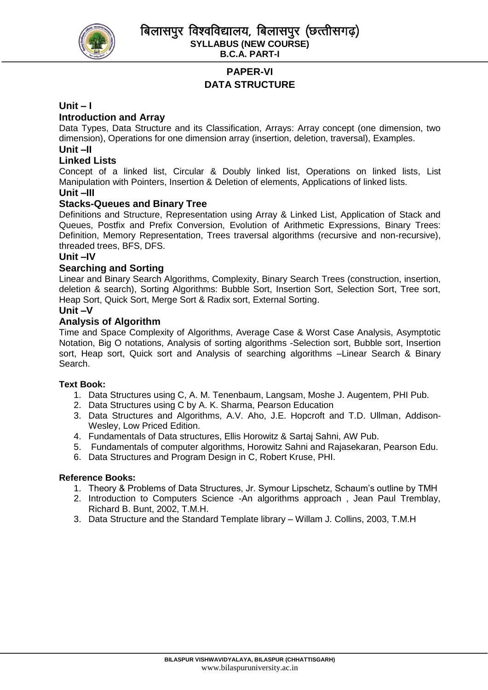

# **PAPER-VI DATA STRUCTURE**

#### **Unit – I**

### **Introduction and Array**

Data Types, Data Structure and its Classification, Arrays: Array concept (one dimension, two dimension), Operations for one dimension array (insertion, deletion, traversal), Examples.

## **Unit –II**

## **Linked Lists**

Concept of a linked list, Circular & Doubly linked list, Operations on linked lists, List Manipulation with Pointers, Insertion & Deletion of elements, Applications of linked lists.

### **Unit –III**

#### **Stacks-Queues and Binary Tree**

Definitions and Structure, Representation using Array & Linked List, Application of Stack and Queues, Postfix and Prefix Conversion, Evolution of Arithmetic Expressions, Binary Trees: Definition, Memory Representation, Trees traversal algorithms (recursive and non-recursive), threaded trees, BFS, DFS.

#### **Unit –IV**

#### **Searching and Sorting**

Linear and Binary Search Algorithms, Complexity, Binary Search Trees (construction, insertion, deletion & search), Sorting Algorithms: Bubble Sort, Insertion Sort, Selection Sort, Tree sort, Heap Sort, Quick Sort, Merge Sort & Radix sort, External Sorting.

#### **Unit –V**

#### **Analysis of Algorithm**

Time and Space Complexity of Algorithms, Average Case & Worst Case Analysis, Asymptotic Notation, Big O notations, Analysis of sorting algorithms -Selection sort, Bubble sort, Insertion sort, Heap sort, Quick sort and Analysis of searching algorithms –Linear Search & Binary Search.

#### **Text Book:**

- 1. Data Structures using C, A. M. Tenenbaum, Langsam, Moshe J. Augentem, PHI Pub.
- 2. Data Structures using C by A. K. Sharma, Pearson Education
- 3. Data Structures and Algorithms, A.V. Aho, J.E. Hopcroft and T.D. Ullman, Addison-Wesley, Low Priced Edition.
- 4. Fundamentals of Data structures, Ellis Horowitz & Sartaj Sahni, AW Pub.
- 5. Fundamentals of computer algorithms, Horowitz Sahni and Rajasekaran, Pearson Edu.
- 6. Data Structures and Program Design in C, Robert Kruse, PHI.

#### **Reference Books:**

- 1. Theory & Problems of Data Structures, Jr. Symour Lipschetz, Schaum's outline by TMH
- 2. Introduction to Computers Science -An algorithms approach , Jean Paul Tremblay, Richard B. Bunt, 2002, T.M.H.
- 3. Data Structure and the Standard Template library Willam J. Collins, 2003, T.M.H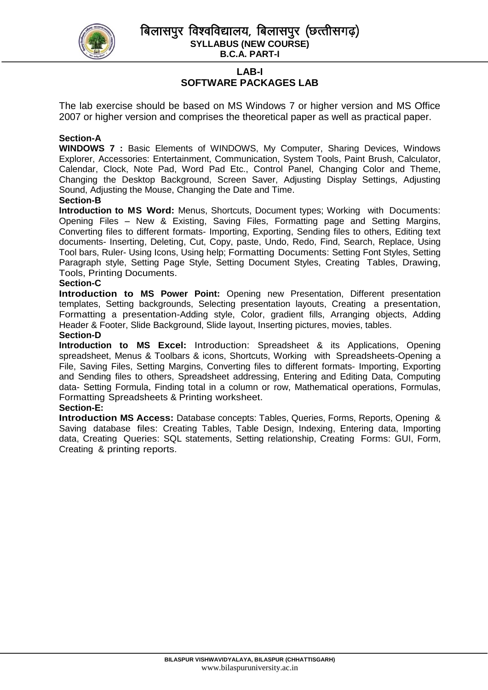

बिलासपर विश्वविद्यालय, बिलासपर (छत्तीसगढ) **SYLLABUS (NEW COURSE)**

**B.C.A. PART-I**

## **LAB-I SOFTWARE PACKAGES LAB**

The lab exercise should be based on MS Windows 7 or higher version and MS Office 2007 or higher version and comprises the theoretical paper as well as practical paper.

#### **Section-A**

**WINDOWS 7 :** Basic Elements of WINDOWS, My Computer, Sharing Devices, Windows Explorer, Accessories: Entertainment, Communication, System Tools, Paint Brush, Calculator, Calendar, Clock, Note Pad, Word Pad Etc., Control Panel, Changing Color and Theme, Changing the Desktop Background, Screen Saver, Adjusting Display Settings, Adjusting Sound, Adjusting the Mouse, Changing the Date and Time.

#### **Section-B**

**Introduction to MS Word:** Menus, Shortcuts, Document types; Working with Documents: Opening Files – New & Existing, Saving Files, Formatting page and Setting Margins, Converting files to different formats- Importing, Exporting, Sending files to others, Editing text documents- Inserting, Deleting, Cut, Copy, paste, Undo, Redo, Find, Search, Replace, Using Tool bars, Ruler- Using Icons, Using help; Formatting Documents: Setting Font Styles, Setting Paragraph style, Setting Page Style, Setting Document Styles, Creating Tables, Drawing, Tools, Printing Documents.

#### **Section-C**

**Introduction to MS Power Point:** Opening new Presentation, Different presentation templates, Setting backgrounds, Selecting presentation layouts, Creating a presentation, Formatting a presentation-Adding style, Color, gradient fills, Arranging objects, Adding Header & Footer, Slide Background, Slide layout, Inserting pictures, movies, tables. **Section-D**

**Introduction to MS Excel:** Introduction: Spreadsheet & its Applications, Opening spreadsheet, Menus & Toolbars & icons, Shortcuts, Working with Spreadsheets-Opening a File, Saving Files, Setting Margins, Converting files to different formats- Importing, Exporting and Sending files to others, Spreadsheet addressing, Entering and Editing Data, Computing data- Setting Formula, Finding total in a column or row, Mathematical operations, Formulas, Formatting Spreadsheets & Printing worksheet.

#### **Section-E:**

**Introduction MS Access:** Database concepts: Tables, Queries, Forms, Reports, Opening & Saving database files: Creating Tables, Table Design, Indexing, Entering data, Importing data, Creating Queries: SQL statements, Setting relationship, Creating Forms: GUI, Form, Creating & printing reports.